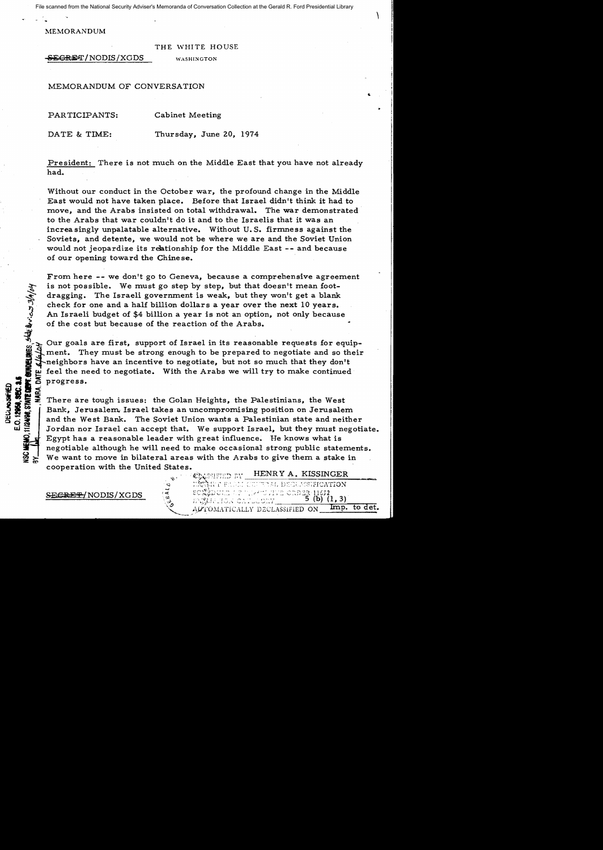File scanned from the National Security Adviser's Memoranda of Conversation Collection at the Gerald R. Ford Presidential Library

 $\sqrt{2}$ 

II.

MEMORANDUM

## THE WHITE HOUSE

**SECRET/NODIS/XGDS** WASHINGTON

MEMORANDUM OF CONVERSATION

PARTICIPANTS: Cabinet Meeting

DATE & TIME: Thursday, June 20, 1974

President: There is not much on the Middle East that you have not already had.

Without our conduct in the October war, the profound change in the Middle East would not have taken place. Before that Israel didn't think it had to move, and the Arabs insisted on total withdrawal. The war demonstrated to the Arabs that war couldn't do it and to the Israelis that it was an increasingly unpalatable alternative. Without U.S. firmness against the Soviets, and detente, we would not be where we are and the Soviet Union would not jeopardize its relationship for the Middle East -- and because of our opening toward the Chinese.

From here **--** we don't go to Geneva, because a comprehensive agreement is not possible. We must go step by step, but that doesn't mean footdragging. The Israeli government is weak, but they won't get a blank check for one and a half billion dollars a year over the next 10 years. An Israeli budget of \$4 billion a year is not an option, not only because of the cost but because of the reaction of the Arabs.

Our goals are first, support of Israel in its reasonable requests for equipment. They must be strong enough to be prepared to negotiate and so their<br>
where the meighbors have an incentive to negotiate, but not so much that they don't<br>  $\frac{1}{2}$  are if the need to negotiate. With the Arabs we will  $\frac{1}{2}$  feel the need to negotiate. With the Arabs we will try to make continued<br>progress.<br> $\frac{1}{2}$ <br>There are tough issues, the Galan Heights, the Polestinians, the West

4. Sold progress.<br>
Sold since the area of the same of the same of the same of the same of the same of the same of the same of the same of the same of the same of the same of the same of the same of the same of the same of  $\begin{array}{rcl}\n\mathbf{1} & \mathbf{1} & \mathbf{1} \\
\mathbf{1} & \mathbf{1} & \mathbf{1} \\
\mathbf{2} & \mathbf{2} & \mathbf{2} \\
\mathbf{3} & \mathbf{3} & \mathbf{3} \\
\mathbf{4} & \mathbf{5} & \mathbf{4} \\
\mathbf{5} & \mathbf{6} & \mathbf{5} \\
\mathbf{6} & \mathbf{7} & \mathbf{5} \\
\mathbf{7} & \mathbf{8} & \mathbf{6} \\
\mathbf{8} & \mathbf{1} & \mathbf{1} \\
\mathbf{1} & \mathbf{1} & \mathbf{1} \\
\math$ Bank, Jerusalem. Israel takes an uncompromising position on Jerusalem and the West Bank. The Soviet Union wants a Palestinian state and neither Jordan nor Israel can accept that. We support Israel, but they must negotiate. Egypt has a reasonable leader with great influence. He knows what is negotiable although he will need to make occasional strong public statements. We want to move in bilateral areas with the Arabs to give them a stake in cooperation with the United States. HENR Y A. KISSINGER

SECRET/NODIS/XGDS

11/24/98, STATE DEPT. CHINELINES, SADE DEV.C.S 3/A/04

 $\mathbf{z} \approx$ 

- **EAAL DEGLASSIFICATION** HVE ORDER 11652 5 (b)  $(1, 3)$ ENZMELTON OB Imp. to det. ALTOMATICALLY DECLASSIFIED ON